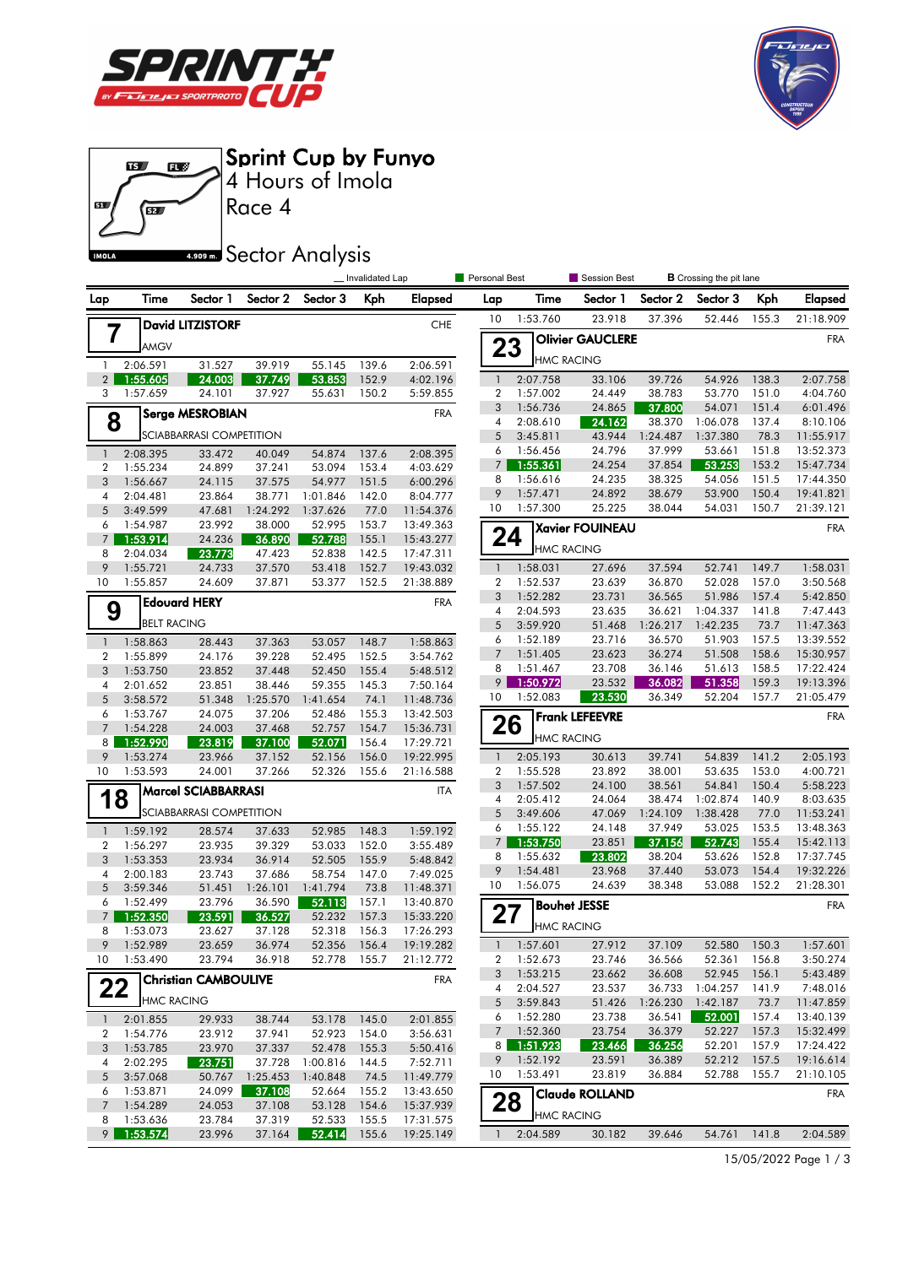





|                                  |                      |                             |                    |                        | _ Invalidated Lap |                        | Personal Best            |                      | Session Best            |                  | <b>B</b> Crossing the pit lane |                |                        |
|----------------------------------|----------------------|-----------------------------|--------------------|------------------------|-------------------|------------------------|--------------------------|----------------------|-------------------------|------------------|--------------------------------|----------------|------------------------|
| Lap                              | Time                 | Sector 1                    | Sector 2           | Sector 3               | Kph               | <b>Elapsed</b>         | Lap                      | Time                 | Sector 1                | Sector 2         | Sector 3                       | Kph            | <b>Elapsed</b>         |
|                                  |                      | <b>David LITZISTORF</b>     |                    |                        |                   | <b>CHE</b>             | 10                       | 1:53.760             | 23.918                  | 37.396           | 52.446                         | 155.3          | 21:18.909              |
|                                  | 7<br>AMGV            |                             |                    |                        |                   |                        |                          |                      | <b>Olivier GAUCLERE</b> |                  |                                |                | <b>FRA</b>             |
|                                  | 2:06.591             |                             |                    | 55.145                 |                   | 2:06.591               | 23                       | <b>HMC RACING</b>    |                         |                  |                                |                |                        |
| $\mathbf{1}$<br>2 <sup>1</sup>   | 1:55.605             | 31.527<br>24.003            | 39.919<br>37.749   | 53.853                 | 139.6<br>152.9    | 4:02.196               | $\mathbf{1}$             | 2:07.758             | 33.106                  | 39.726           | 54.926                         | 138.3          | 2:07.758               |
| 3                                | 1:57.659             | 24.101                      | 37.927             | 55.631                 | 150.2             | 5:59.855               | $\overline{2}$           | 1:57.002             | 24.449                  | 38.783           | 53.770                         | 151.0          | 4:04.760               |
|                                  |                      |                             |                    |                        |                   | <b>FRA</b>             | 3                        | 1:56.736             | 24.865                  | 37.800           | 54.071                         | 151.4          | 6:01.496               |
| <b>Serge MESROBIAN</b><br>8      |                      |                             |                    |                        |                   |                        | 4                        | 2:08.610             | 24.162                  | 38.370           | 1:06.078                       | 137.4          | 8:10.106               |
|                                  |                      | SCIABBARRASI COMPETITION    |                    |                        |                   |                        | 5                        | 3:45.811             | 43.944                  | 1:24.487         | 1:37.380                       | 78.3           | 11:55.917              |
| $\mathbf{1}$                     | 2:08.395             | 33.472                      | 40.049             | 54.874                 | 137.6             | 2:08.395               | 6                        | 1:56.456             | 24.796                  | 37.999           | 53.661                         | 151.8          | 13:52.373              |
| 2                                | 1:55.234             | 24.899                      | 37.241             | 53.094                 | 153.4             | 4:03.629               | 7 <sup>1</sup>           | 1:55.361             | 24.254                  | 37.854           | 53.253                         | 153.2          | 15:47.734              |
| 3                                | 1:56.667             | 24.115                      | 37.575             | 54.977                 | 151.5             | 6:00.296               | 8<br>9                   | 1:56.616<br>1:57.471 | 24.235<br>24.892        | 38.325<br>38.679 | 54.056<br>53.900               | 151.5<br>150.4 | 17:44.350<br>19:41.821 |
| 4                                | 2:04.481             | 23.864                      | 38.771             | 1:01.846               | 142.0             | 8:04.777               | 10                       | 1:57.300             | 25.225                  | 38.044           | 54.031                         | 150.7          | 21:39.121              |
| 5<br>6                           | 3:49.599<br>1:54.987 | 47.681<br>23.992            | 1:24.292<br>38.000 | 1:37.626<br>52.995     | 77.0<br>153.7     | 11:54.376<br>13:49.363 |                          |                      |                         |                  |                                |                |                        |
| $7^{\circ}$                      | 1:53.914             | 24.236                      | 36.890             | 52.788                 | 155.1             | 15:43.277              | 24                       |                      | Xavier FOUINEAU         |                  |                                |                | <b>FRA</b>             |
| 8                                | 2:04.034             | 23.773                      | 47.423             | 52.838                 | 142.5             | 17:47.311              |                          | <b>HMC RACING</b>    |                         |                  |                                |                |                        |
| 9                                | 1:55.721             | 24.733                      | 37.570             | 53.418                 | 152.7             | 19:43.032              | $\mathbf{1}$             | 1:58.031             | 27.696                  | 37.594           | 52.741                         | 149.7          | 1:58.031               |
| 10                               | 1:55.857             | 24.609                      | 37.871             | 53.377                 | 152.5             | 21:38.889              | $\overline{2}$           | 1:52.537             | 23.639                  | 36.870           | 52.028                         | 157.0          | 3:50.568               |
|                                  |                      | <b>Edouard HERY</b>         |                    |                        |                   | <b>FRA</b>             | 3                        | 1:52.282             | 23.731                  | 36.565           | 51.986                         | 157.4          | 5:42.850               |
| 9                                |                      |                             |                    |                        |                   |                        | $\overline{\mathcal{A}}$ | 2:04.593             | 23.635                  | 36.621           | 1:04.337                       | 141.8          | 7:47.443               |
|                                  | <b>BELT RACING</b>   |                             |                    |                        |                   |                        | 5                        | 3:59.920             | 51.468                  | 1:26.217         | 1:42.235                       | 73.7           | 11:47.363              |
| $\mathbf{1}$                     | 1:58.863             | 28.443                      | 37.363             | 53.057                 | 148.7             | 1:58.863               | 6                        | 1:52.189             | 23.716                  | 36.570           | 51.903                         | 157.5          | 13:39.552              |
| 2                                | 1:55.899             | 24.176                      | 39.228             | 52.495                 | 152.5             | 3:54.762               | $\overline{7}$           | 1:51.405             | 23.623                  | 36.274           | 51.508                         | 158.6          | 15:30.957              |
| 3                                | 1:53.750             | 23.852                      | 37.448             | 52.450                 | 155.4             | 5:48.512               | 8                        | 1:51.467             | 23.708                  | 36.146           | 51.613                         | 158.5          | 17:22.424              |
| 4                                | 2:01.652             | 23.851                      | 38.446             | 59.355                 | 145.3             | 7:50.164               | 9<br>10                  | 1:50.972<br>1:52.083 | 23.532                  | 36.082<br>36.349 | 51.358<br>52.204               | 159.3          | 19:13.396              |
| 5                                | 3:58.572             | 51.348                      | 1:25.570           | 1:41.654               | 74.1              | 11:48.736              |                          |                      | 23.530                  |                  |                                | 157.7          | 21:05.479              |
| 6<br>$\overline{7}$              | 1:53.767<br>1:54.228 | 24.075<br>24.003            | 37.206<br>37.468   | 52.486<br>52.757       | 155.3<br>154.7    | 13:42.503              | 26                       |                      | <b>Frank LEFEEVRE</b>   |                  |                                |                | <b>FRA</b>             |
| 8                                | 1:52.990             | 23.819                      | 37.100             | 52.071                 | 156.4             | 15:36.731<br>17:29.721 |                          | <b>HMC RACING</b>    |                         |                  |                                |                |                        |
| 9                                | 1:53.274             | 23.966                      | 37.152             | 52.156                 | 156.0             | 19:22.995              | $\mathbf{1}$             | 2:05.193             | 30.613                  | 39.741           | 54.839                         | 141.2          | 2:05.193               |
| 10                               | 1:53.593             | 24.001                      | 37.266             | 52.326                 | 155.6             | 21:16.588              | $\overline{2}$           | 1:55.528             | 23.892                  | 38.001           | 53.635                         | 153.0          | 4:00.721               |
|                                  |                      |                             |                    |                        |                   | <b>ITA</b>             | 3                        | 1:57.502             | 24.100                  | 38.561           | 54.841                         | 150.4          | 5:58.223               |
| <b>Marcel SCIABBARRASI</b><br>18 |                      |                             |                    |                        |                   | $\overline{4}$         | 2:05.412                 | 24.064               | 38.474                  | 1:02.874         | 140.9                          | 8:03.635       |                        |
|                                  |                      | SCIABBARRASI COMPETITION    |                    |                        |                   |                        | 5                        | 3:49.606             | 47.069                  | 1:24.109         | 1:38.428                       | 77.0           | 11:53.241              |
| $\mathbf{1}$                     | 1:59.192             | 28.574                      | 37.633             | 52.985                 | 148.3             | 1:59.192               | 6                        | 1:55.122             | 24.148                  | 37.949           | 53.025                         | 153.5          | 13:48.363              |
| 2                                | 1:56.297             | 23.935                      | 39.329             | 53.033                 | 152.0             | 3:55.489               | 7 <sup>1</sup>           | 1:53.750             | 23.851                  | 37.156           | 52.743                         | 155.4          | 15:42.113              |
| 3                                | 1:53.353             | 23.934                      | 36.914             | 52.505                 | 155.9             | 5:48.842               | 8                        | 1:55.632             | 23.802                  | 38.204           | 53.626                         | 152.8          | 17:37.745              |
| 4                                | 2:00.183             | 23.743                      | 37.686             | 58.754                 | 147.0             | 7:49.025               | 9                        | 1:54.481             | 23.968                  | 37.440           | 53.073                         | 154.4          | 19:32.226              |
| 5                                | 3:59.346             | 51.451                      | 1:26.101           | 1:41.794               | 73.8              | 11:48.371              | 10                       | 1:56.075             | 24.639                  | 38.348           | 53.088                         | 152.2          | 21:28.301              |
| 6                                | 1:52.499             | 23.796                      | 36.590             | 52.113                 | 157.1             | 13:40.870              | 27                       |                      | <b>Bouhet JESSE</b>     |                  |                                |                | <b>FRA</b>             |
| $7^{\circ}$<br>8                 | 1:52.350             | 23.591                      | 36.527             | 52.232                 | 157.3             | 15:33.220              |                          | <b>HMC RACING</b>    |                         |                  |                                |                |                        |
| 9                                | 1:53.073<br>1:52.989 | 23.627<br>23.659            | 37.128<br>36.974   | 52.318<br>52.356 156.4 | 156.3             | 17:26.293<br>19:19.282 |                          | $1 \quad 1:57.601$   | 27.912                  | 37.109           | 52.580                         | 150.3          | 1:57.601               |
|                                  | 10 1:53.490          | 23.794                      | 36.918             | 52.778 155.7           |                   | 21:12.772              |                          | 2 1:52.673           | 23.746                  | 36.566           | 52.361                         | 156.8          | 3:50.274               |
|                                  |                      |                             |                    |                        |                   |                        | 3                        | 1:53.215             | 23.662                  | 36.608           | 52.945                         | 156.1          | 5:43.489               |
| 22                               |                      | <b>Christian CAMBOULIVE</b> |                    |                        |                   | <b>FRA</b>             | 4                        | 2:04.527             | 23.537                  |                  | 36.733 1:04.257                | 141.9          | 7:48.016               |
|                                  | HMC RACING           |                             |                    |                        |                   |                        | 5                        | 3:59.843             | 51.426                  | 1:26.230         | 1:42.187                       | 73.7           | 11:47.859              |
| $\mathbf{1}$                     | 2:01.855             | 29.933                      | 38.744             | 53.178                 | 145.0             | 2:01.855               | 6                        | 1:52.280             | 23.738                  | 36.541           | 52.001                         | 157.4          | 13:40.139              |
| 2                                | 1:54.776             | 23.912                      | 37.941             | 52.923                 | 154.0             | 3:56.631               |                          | 7 1:52.360           | 23.754                  | 36.379           | 52.227                         | 157.3          | 15:32.499              |
| 3                                | 1:53.785             | 23.970                      | 37.337             | 52.478                 | 155.3             | 5:50.416               |                          | 8 1:51.923           | 23.466                  | 36.256           | 52.201                         | 157.9          | 17:24.422              |
| 4                                | 2:02.295             | 23.751                      | 37.728             | 1:00.816               | 144.5             | 7:52.711               | 9                        | 1:52.192             | 23.591                  | 36.389           | 52.212                         | 157.5          | 19:16.614              |
| 5                                | 3:57.068             | 50.767                      | 1:25.453           | 1:40.848               | 74.5              | 11:49.779              | 10                       | 1:53.491             | 23.819                  | 36.884           | 52.788                         | 155.7          | 21:10.105              |
| 6                                | 1:53.871             | 24.099                      | 37.108             | 52.664                 | 155.2             | 13:43.650              |                          |                      | <b>Claude ROLLAND</b>   |                  |                                |                | <b>FRA</b>             |
| 7                                | 1:54.289             | 24.053                      | 37.108             | 53.128                 | 154.6             | 15:37.939              | 28                       | <b>HMC RACING</b>    |                         |                  |                                |                |                        |
| 8                                | 1:53.636             | 23.784                      | 37.319             | 52.533                 | 155.5             | 17:31.575              |                          | 2:04.589             |                         | 39.646           | 54.761 141.8                   |                | 2:04.589               |
|                                  | 9 1:53.574           | 23.996                      | 37.164             | 52.414                 | 155.6             | 19:25.149              | $\mathbf{1}$             |                      | 30.182                  |                  |                                |                |                        |

15/05/2022 Page 1 / 3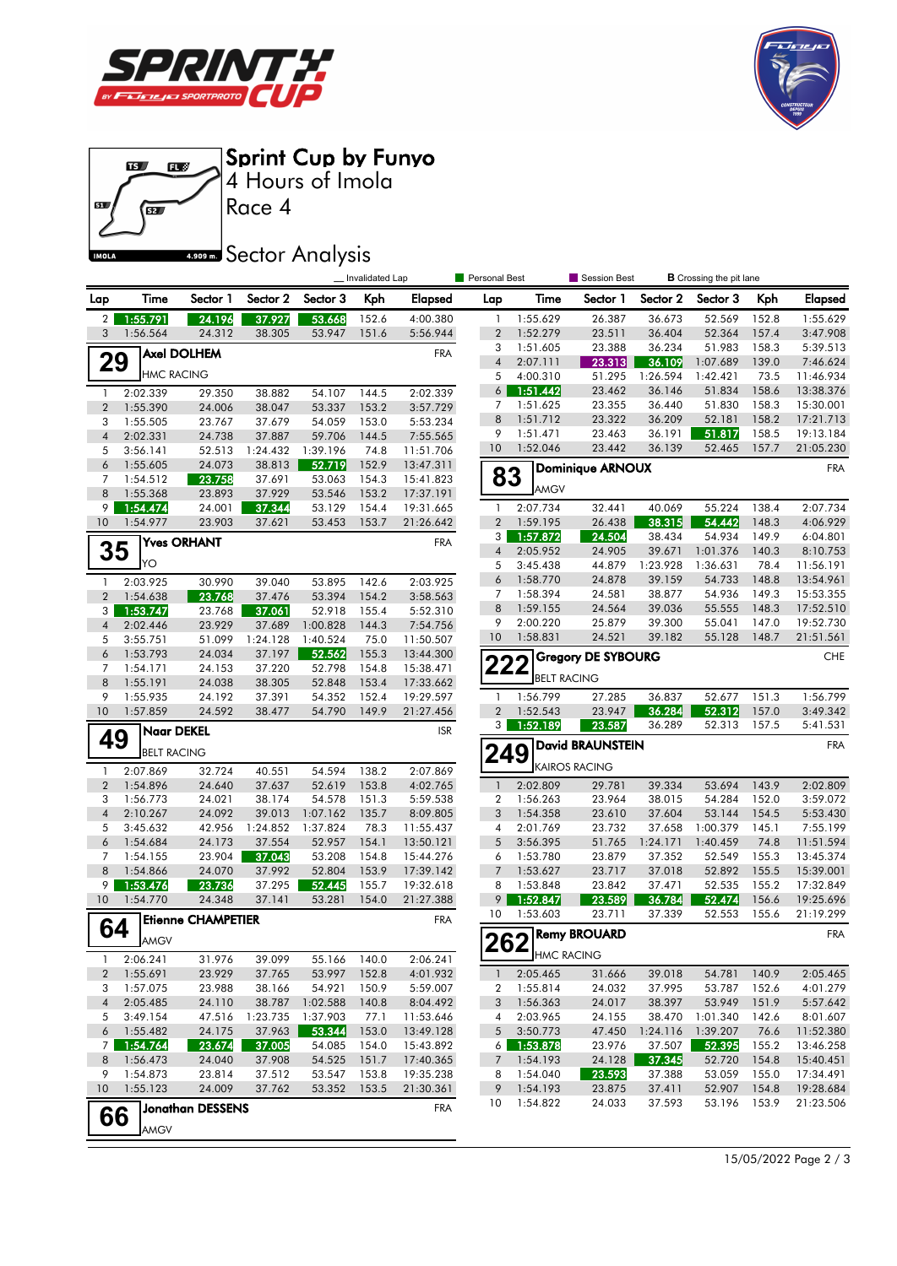





**IMOLA** 

## **4.909mm** Sector Analysis

|                 |                      |                           |                    |                    | _Invalidated Lap |                        | Personal Best            |                      | Session Best              | <b>B</b> Crossing the pit lane |                    |                |                        |
|-----------------|----------------------|---------------------------|--------------------|--------------------|------------------|------------------------|--------------------------|----------------------|---------------------------|--------------------------------|--------------------|----------------|------------------------|
| Lap             | Time                 | Sector 1                  | Sector 2           | Sector 3           | Kph              | <b>Elapsed</b>         | Lap                      | Time                 | Sector 1                  | Sector 2                       | Sector 3           | Kph            | <b>Elapsed</b>         |
| $\overline{2}$  | 1:55.791             | 24.196                    | 37.927             | 53.668             | 152.6            | 4:00.380               | 1                        | 1:55.629             | 26.387                    | 36.673                         | 52.569             | 152.8          | 1:55.629               |
| 3               | 1:56.564             | 24.312                    | 38.305             | 53.947             | 151.6            | 5:56.944               | $\overline{2}$           | 1:52.279             | 23.511                    | 36.404                         | 52.364             | 157.4          | 3:47.908               |
|                 |                      | <b>Axel DOLHEM</b>        |                    |                    |                  | <b>FRA</b>             | 3                        | 1:51.605             | 23.388                    | 36.234                         | 51.983             | 158.3          | 5:39.513               |
| 29              | <b>HMC RACING</b>    |                           |                    |                    |                  |                        | $\overline{\mathcal{A}}$ | 2:07.111             | 23.313                    | 36.109                         | 1:07.689           | 139.0          | 7:46.624               |
|                 |                      |                           |                    |                    |                  |                        | 5                        | 4:00.310             | 51.295                    | 1:26.594                       | 1:42.421           | 73.5           | 11:46.934              |
| $\mathbf{1}$    | 2:02.339             | 29.350                    | 38.882             | 54.107             | 144.5            | 2:02.339               | $6 \mid$                 | 1:51.442             | 23.462                    | 36.146                         | 51.834<br>51.830   | 158.6<br>158.3 | 13:38.376              |
| $\overline{2}$  | 1:55.390             | 24.006                    | 38.047             | 53.337             | 153.2            | 3:57.729               | 7<br>8                   | 1:51.625<br>1:51.712 | 23.355<br>23.322          | 36.440<br>36.209               | 52.181             | 158.2          | 15:30.001<br>17:21.713 |
| 3               | 1:55.505             | 23.767                    | 37.679             | 54.059             | 153.0            | 5:53.234               | 9                        | 1:51.471             | 23.463                    | 36.191                         | 51.817             | 158.5          | 19:13.184              |
| $\sqrt{4}$<br>5 | 2:02.331             | 24.738<br>52.513          | 37.887<br>1:24.432 | 59.706             | 144.5            | 7:55.565               | 10                       | 1:52.046             | 23.442                    | 36.139                         | 52.465             | 157.7          | 21:05.230              |
| 6               | 3:56.141<br>1:55.605 | 24.073                    | 38.813             | 1:39.196<br>52.719 | 74.8<br>152.9    | 11:51.706<br>13:47.311 |                          |                      |                           |                                |                    |                |                        |
| 7               | 1:54.512             | 23.758                    | 37.691             | 53.063             | 154.3            | 15:41.823              | 83                       |                      | <b>Dominique ARNOUX</b>   |                                |                    |                | <b>FRA</b>             |
| 8               | 1:55.368             | 23.893                    | 37.929             | 53.546             | 153.2            | 17:37.191              |                          | AMGV                 |                           |                                |                    |                |                        |
| 9               | 1:54.474             | 24.001                    | 37.344             | 53.129             | 154.4            | 19:31.665              | 1                        | 2:07.734             | 32.441                    | 40.069                         | 55.224             | 138.4          | 2:07.734               |
| 10              | 1:54.977             | 23.903                    | 37.621             | 53.453             | 153.7            | 21:26.642              | $\overline{2}$           | 1:59.195             | 26.438                    | 38.315                         | 54.442             | 148.3          | 4:06.929               |
|                 |                      | <b>Yves ORHANT</b>        |                    |                    |                  | <b>FRA</b>             | 3 <sup>1</sup>           | 1:57.872             | 24.504                    | 38.434                         | 54.934             | 149.9          | 6:04.801               |
| 35              |                      |                           |                    |                    |                  |                        | $\overline{\mathcal{A}}$ | 2:05.952             | 24.905                    | 39.671                         | 1:01.376           | 140.3          | 8:10.753               |
|                 | YO                   |                           |                    |                    |                  |                        | 5                        | 3:45.438             | 44.879                    | 1:23.928                       | 1:36.631           | 78.4           | 11:56.191              |
| $\mathbf{1}$    | 2:03.925             | 30.990                    | 39.040             | 53.895             | 142.6            | 2:03.925               | 6                        | 1:58.770             | 24.878                    | 39.159                         | 54.733             | 148.8          | 13:54.961              |
| $\overline{2}$  | 1:54.638             | 23.768                    | 37.476             | 53.394             | 154.2            | 3:58.563               | 7                        | 1:58.394             | 24.581                    | 38.877                         | 54.936             | 149.3          | 15:53.355              |
| 3               | 1:53.747             | 23.768                    | 37.061             | 52.918             | 155.4            | 5:52.310               | 8                        | 1:59.155             | 24.564                    | 39.036                         | 55.555             | 148.3          | 17:52.510              |
| $\overline{4}$  | 2:02.446             | 23.929                    | 37.689             | 1:00.828           | 144.3            | 7:54.756               | 9                        | 2:00.220             | 25.879                    | 39.300                         | 55.041             | 147.0          | 19:52.730              |
| 5               | 3:55.751             | 51.099                    | 1:24.128           | 1:40.524           | 75.0             | 11:50.507              | 10                       | 1:58.831             | 24.521                    | 39.182                         | 55.128             | 148.7          | 21:51.561              |
| 6               | 1:53.793             | 24.034                    | 37.197             | 52.562             | 155.3            | 13:44.300              | 222                      |                      | <b>Gregory DE SYBOURG</b> |                                |                    |                | <b>CHE</b>             |
| 7               | 1:54.171             | 24.153                    | 37.220             | 52.798             | 154.8            | 15:38.471              |                          | <b>BELT RACING</b>   |                           |                                |                    |                |                        |
| 8<br>9          | 1:55.191             | 24.038                    | 38.305             | 52.848             | 153.4            | 17:33.662              | $\mathbf{1}$             | 1:56.799             | 27.285                    | 36.837                         |                    |                | 1:56.799               |
| 10              | 1:55.935<br>1:57.859 | 24.192<br>24.592          | 37.391<br>38.477   | 54.352<br>54.790   | 152.4<br>149.9   | 19:29.597<br>21:27.456 | $\overline{2}$           | 1:52.543             | 23.947                    | 36.284                         | 52.677<br>52.312   | 151.3<br>157.0 | 3:49.342               |
|                 |                      |                           |                    |                    |                  |                        |                          | 3 1:52.189           | 23.587                    | 36.289                         | 52.313             | 157.5          | 5:41.531               |
| 49              | Naar DEKEL           |                           |                    |                    |                  | <b>ISR</b>             |                          |                      |                           |                                |                    |                | <b>FRA</b>             |
|                 | <b>BELT RACING</b>   |                           |                    |                    |                  |                        | 249                      |                      | David BRAUNSTEIN          |                                |                    |                |                        |
| $\mathbf{1}$    | 2:07.869             | 32.724                    | 40.551             | 54.594             | 138.2            | 2:07.869               |                          |                      | KAIROS RACING             |                                |                    |                |                        |
| $\overline{2}$  | 1:54.896             | 24.640                    | 37.637             | 52.619             | 153.8            | 4:02.765               | $\mathbf{1}$             | 2:02.809             | 29.781                    | 39.334                         | 53.694             | 143.9          | 2:02.809               |
| 3               | 1:56.773             | 24.021                    | 38.174             | 54.578             | 151.3            | 5:59.538               | $\overline{\mathbf{c}}$  | 1:56.263             | 23.964                    | 38.015                         | 54.284             | 152.0          | 3:59.072               |
| $\overline{4}$  | 2:10.267             | 24.092                    | 39.013             | 1:07.162           | 135.7            | 8:09.805               | 3                        | 1:54.358             | 23.610                    | 37.604                         | 53.144             | 154.5          | 5:53.430               |
| 5<br>6          | 3:45.632             | 42.956                    | 1:24.852           | 1:37.824           | 78.3             | 11:55.437              | 4<br>5                   | 2:01.769             | 23.732                    | 37.658                         | 1:00.379           | 145.1<br>74.8  | 7:55.199               |
| 7               | 1:54.684<br>1:54.155 | 24.173<br>23.904          | 37.554<br>37.043   | 52.957<br>53.208   | 154.1<br>154.8   | 13:50.121<br>15:44.276 | 6                        | 3:56.395<br>1:53.780 | 51.765<br>23.879          | 1:24.171<br>37.352             | 1:40.459<br>52.549 | 155.3          | 11:51.594<br>13:45.374 |
| 8               | 1:54.866             | 24.070                    | 37.992             | 52.804             | 153.9            | 17:39.142              | $\overline{7}$           | 1:53.627             | 23.717                    | 37.018                         | 52.892             | 155.5          | 15:39.001              |
| 9               | 1:53.476             | 23.736                    | 37.295             | 52.445             | 155.7            | 19:32.618              | 8                        | 1:53.848             | 23.842                    | 37.471                         | 52.535             | 155.2          | 17:32.849              |
| 10              | 1:54.770             | 24.348                    | 37.141             | 53.281             | 154.0            | 21:27.388              | 9                        | 1:52.847             | 23.589                    | 36.784                         | 52.474             | 156.6          | 19:25.696              |
|                 |                      | <b>Etienne CHAMPETIER</b> |                    |                    |                  | <b>FRA</b>             | 10                       | 1:53.603             | 23.711                    | 37.339                         | 52.553             | 155.6          | 21:19.299              |
| 64              |                      |                           |                    |                    |                  |                        |                          |                      | <b>Remy BROUARD</b>       |                                |                    |                | <b>FRA</b>             |
|                 | <b>AMGV</b>          |                           |                    |                    |                  |                        | 262                      |                      |                           |                                |                    |                |                        |
| $\mathbf{1}$    | 2:06.241             | 31.976                    | 39.099             | 55.166             | 140.0            | 2:06.241               |                          | HMC RACING           |                           |                                |                    |                |                        |
| $\overline{2}$  | 1:55.691             | 23.929                    | 37.765             | 53.997             | 152.8            | 4:01.932               | $\mathbf{1}$             | 2:05.465             | 31.666                    | 39.018                         | 54.781             | 140.9          | 2:05.465               |
| 3               | 1:57.075             | 23.988                    | 38.166             | 54.921             | 150.9            | 5:59.007               | 2                        | 1:55.814             | 24.032                    | 37.995                         | 53.787             | 152.6          | 4:01.279               |
| $\overline{4}$  | 2:05.485             | 24.110                    | 38.787             | 1:02.588           | 140.8            | 8:04.492               | 3                        | 1:56.363             | 24.017                    | 38.397                         | 53.949             | 151.9          | 5:57.642               |
| 5               | 3:49.154             | 47.516                    | 1:23.735           | 1:37.903           | 77.1             | 11:53.646              | 4                        | 2:03.965             | 24.155                    | 38.470                         | 1:01.340           | 142.6          | 8:01.607               |
| 6               | 1:55.482             | 24.175                    | 37.963             | 53.344             | 153.0            | 13:49.128              | 5                        | 3:50.773             | 47.450                    | 1:24.116                       | 1:39.207           | 76.6           | 11:52.380              |
| 7               | 1:54.764             | 23.674                    | 37.005             | 54.085             | 154.0            | 15:43.892              | $6 \mid$                 | 1:53.878             | 23.976                    | 37.507                         | 52.395             | 155.2          | 13:46.258              |
| 8               | 1:56.473             | 24.040                    | 37.908             | 54.525             | 151.7            | 17:40.365              | 7                        | 1:54.193             | 24.128                    | 37.345                         | 52.720             | 154.8          | 15:40.451              |
| 9<br>10         | 1:54.873<br>1:55.123 | 23.814                    | 37.512             | 53.547             | 153.8<br>153.5   | 19:35.238              | 8<br>9                   | 1:54.040             | 23.593                    | 37.388                         | 53.059<br>52.907   | 155.0          | 17:34.491<br>19:28.684 |
|                 |                      | 24.009                    | 37.762             | 53.352             |                  | 21:30.361              | 10                       | 1:54.193<br>1:54.822 | 23.875                    | 37.411<br>37.593               | 53.196             | 154.8<br>153.9 | 21:23.506              |
| 66              |                      | <b>Jonathan DESSENS</b>   |                    |                    |                  | <b>FRA</b>             |                          |                      | 24.033                    |                                |                    |                |                        |
|                 | <b>AMGV</b>          |                           |                    |                    |                  |                        |                          |                      |                           |                                |                    |                |                        |
|                 |                      |                           |                    |                    |                  |                        |                          |                      |                           |                                |                    |                |                        |

15/05/2022 Page 2 / 3